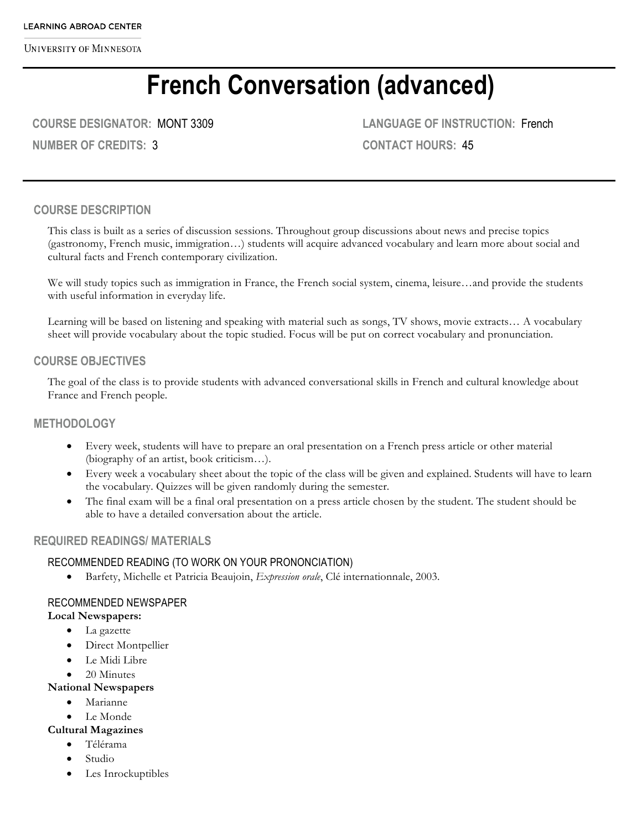# **French Conversation (advanced)**

**COURSE DESIGNATOR:** MONT 3309

**NUMBER OF CREDITS:** 3

**LANGUAGE OF INSTRUCTION:** French **CONTACT HOURS:** 45

## **COURSE DESCRIPTION**

This class is built as a series of discussion sessions. Throughout group discussions about news and precise topics (gastronomy, French music, immigration…) students will acquire advanced vocabulary and learn more about social and cultural facts and French contemporary civilization.

We will study topics such as immigration in France, the French social system, cinema, leisure…and provide the students with useful information in everyday life.

Learning will be based on listening and speaking with material such as songs, TV shows, movie extracts… A vocabulary sheet will provide vocabulary about the topic studied. Focus will be put on correct vocabulary and pronunciation.

#### **COURSE OBJECTIVES**

The goal of the class is to provide students with advanced conversational skills in French and cultural knowledge about France and French people.

## **METHODOLOGY**

- Every week, students will have to prepare an oral presentation on a French press article or other material (biography of an artist, book criticism…).
- Every week a vocabulary sheet about the topic of the class will be given and explained. Students will have to learn the vocabulary. Quizzes will be given randomly during the semester.
- The final exam will be a final oral presentation on a press article chosen by the student. The student should be able to have a detailed conversation about the article.

## **REQUIRED READINGS/ MATERIALS**

#### RECOMMENDED READING (TO WORK ON YOUR PRONONCIATION)

• Barfety, Michelle et Patricia Beaujoin, *Expression orale*, Clé internationnale, 2003.

#### RECOMMENDED NEWSPAPER

#### **Local Newspapers:**

- La gazette
- Direct Montpellier
- Le Midi Libre
- 20 Minutes

#### **National Newspapers**

- Marianne
- Le Monde

#### **Cultural Magazines**

- Télérama
- Studio
- Les Inrockuptibles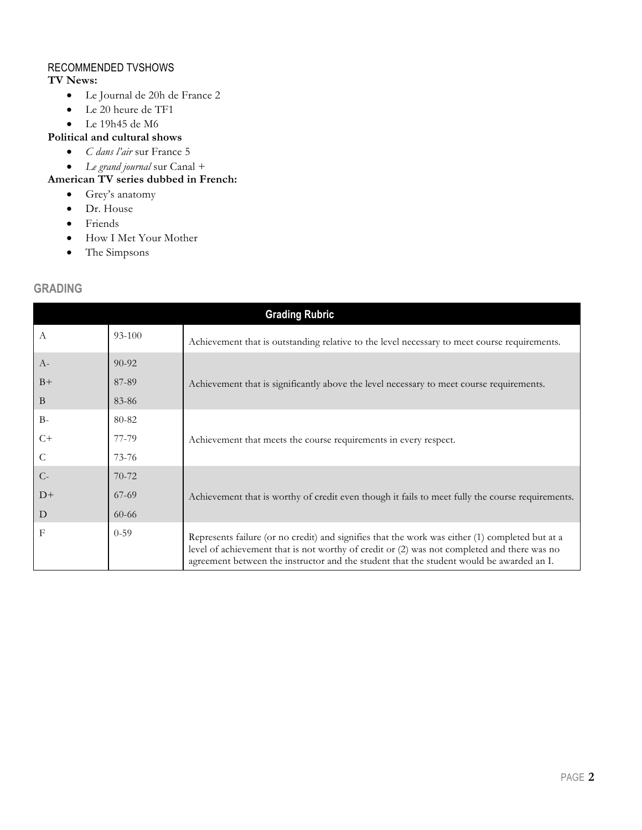## RECOMMENDED TVSHOWS

**TV News:**

- Le Journal de 20h de France 2
- Le 20 heure de TF1
- Le 19h45 de M6

### **Political and cultural shows**

- *C dans l'air* sur France 5
- *Le grand journal* sur Canal +

## **American TV series dubbed in French:**

- Grey's anatomy
- Dr. House
- Friends
- How I Met Your Mother
- The Simpsons

## **GRADING**

| <b>Grading Rubric</b> |           |                                                                                                                                                                                                                                                                                            |  |
|-----------------------|-----------|--------------------------------------------------------------------------------------------------------------------------------------------------------------------------------------------------------------------------------------------------------------------------------------------|--|
| A                     | 93-100    | Achievement that is outstanding relative to the level necessary to meet course requirements.                                                                                                                                                                                               |  |
| $A-$                  | $90 - 92$ |                                                                                                                                                                                                                                                                                            |  |
| $B+$                  | 87-89     | Achievement that is significantly above the level necessary to meet course requirements.                                                                                                                                                                                                   |  |
| B                     | 83-86     |                                                                                                                                                                                                                                                                                            |  |
| $B -$                 | 80-82     |                                                                                                                                                                                                                                                                                            |  |
| $C+$                  | 77-79     | Achievement that meets the course requirements in every respect.                                                                                                                                                                                                                           |  |
| C                     | 73-76     |                                                                                                                                                                                                                                                                                            |  |
| $C-$                  | $70-72$   |                                                                                                                                                                                                                                                                                            |  |
| $D+$                  | $67-69$   | Achievement that is worthy of credit even though it fails to meet fully the course requirements.                                                                                                                                                                                           |  |
| D                     | $60 - 66$ |                                                                                                                                                                                                                                                                                            |  |
| $_{\rm F}$            | $0 - 59$  | Represents failure (or no credit) and signifies that the work was either (1) completed but at a<br>level of achievement that is not worthy of credit or (2) was not completed and there was no<br>agreement between the instructor and the student that the student would be awarded an I. |  |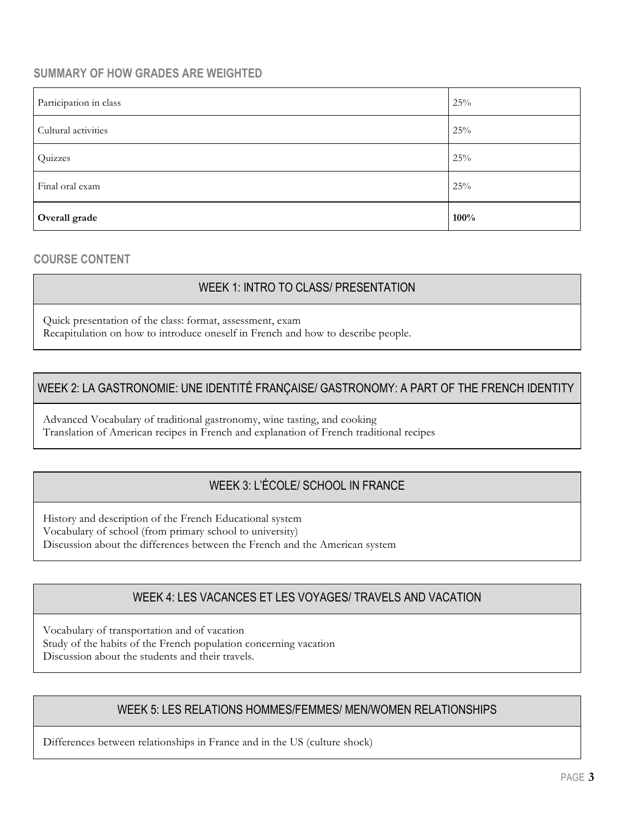# **SUMMARY OF HOW GRADES ARE WEIGHTED**

| Participation in class | 25%  |
|------------------------|------|
| Cultural activities    | 25%  |
| Quizzes                | 25%  |
| Final oral exam        | 25%  |
| Overall grade          | 100% |

## **COURSE CONTENT**

# WEEK 1: INTRO TO CLASS/ PRESENTATION

Quick presentation of the class: format, assessment, exam Recapitulation on how to introduce oneself in French and how to describe people.

# WEEK 2: LA GASTRONOMIE: UNE IDENTITÉ FRANÇAISE/ GASTRONOMY: A PART OF THE FRENCH IDENTITY

Advanced Vocabulary of traditional gastronomy, wine tasting, and cooking Translation of American recipes in French and explanation of French traditional recipes

# WEEK 3: L'ÉCOLE/ SCHOOL IN FRANCE

History and description of the French Educational system Vocabulary of school (from primary school to university) Discussion about the differences between the French and the American system

## WEEK 4: LES VACANCES ET LES VOYAGES/ TRAVELS AND VACATION

Vocabulary of transportation and of vacation Study of the habits of the French population concerning vacation Discussion about the students and their travels.

## WEEK 5: LES RELATIONS HOMMES/FEMMES/ MEN/WOMEN RELATIONSHIPS

Differences between relationships in France and in the US (culture shock)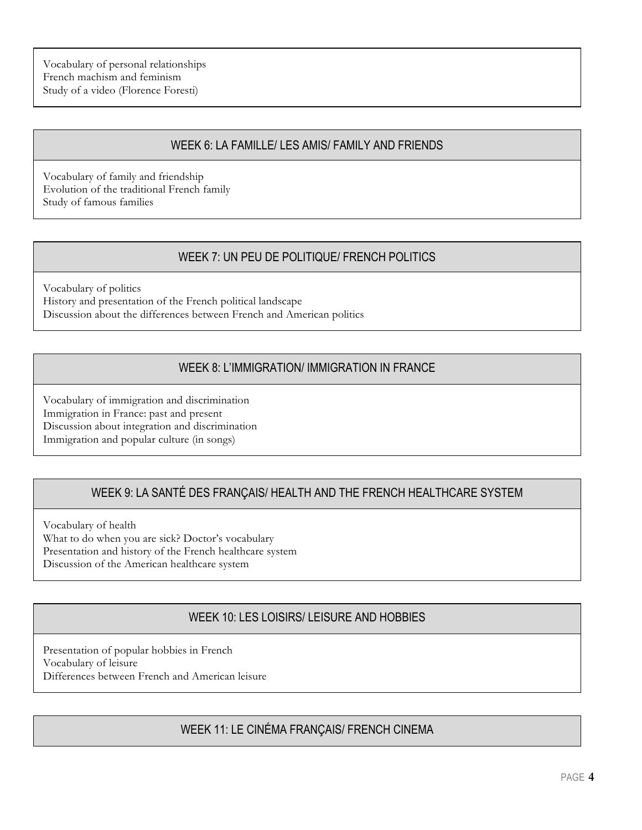Vocabulary of personal relationships French machism and feminism Study of a video (Florence Foresti)

## WEEK 6: LA FAMILLE/ LES AMIS/ FAMILY AND FRIENDS

Vocabulary of family and friendship Evolution of the traditional French family Study of famous families

# WEEK 7: UN PEU DE POLITIQUE/ FRENCH POLITICS

Vocabulary of politics History and presentation of the French political landscape Discussion about the differences between French and American politics

# WEEK 8: L'IMMIGRATION/ IMMIGRATION IN FRANCE

Vocabulary of immigration and discrimination Immigration in France: past and present Discussion about integration and discrimination Immigration and popular culture (in songs)

# WEEK 9: LA SANTÉ DES FRANÇAIS/ HEALTH AND THE FRENCH HEALTHCARE SYSTEM

Vocabulary of health What to do when you are sick? Doctor's vocabulary Presentation and history of the French healthcare system Discussion of the American healthcare system

# WEEK 10: LES LOISIRS/ LEISURE AND HOBBIES

Presentation of popular hobbies in French Vocabulary of leisure Differences between French and American leisure

# WEEK 11: LE CINÉMA FRANÇAIS/ FRENCH CINEMA